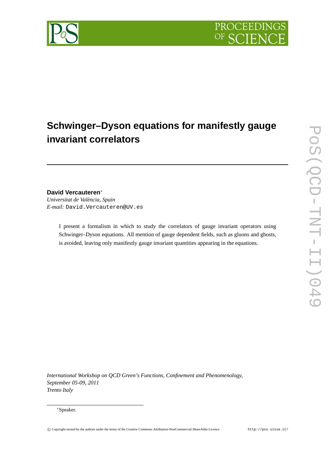

# **Schwinger–Dyson equations for manifestly gauge invariant correlators**

## **David Vercauteren**<sup>∗</sup>

*Universitat de València, Spain E-mail:* David.Vercauteren@UV.es

> I present a formalism in which to study the correlators of gauge invariant operators using Schwinger–Dyson equations. All mention of gauge dependent fields, such as gluons and ghosts, is avoided, leaving only manifestly gauge invariant quantities appearing in the equations.

*International Workshop on QCD Green's Functions, Confinement and Phenomenology, September 05-09, 2011 Trento Italy*

#### <sup>∗</sup>Speaker.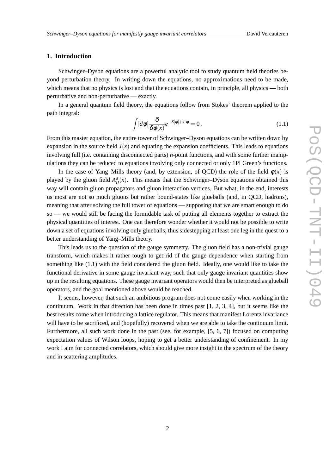### **1. Introduction**

Schwinger–Dyson equations are a powerful analytic tool to study quantum field theories beyond perturbation theory. In writing down the equations, no approximations need to be made, which means that no physics is lost and that the equations contain, in principle, all physics — both perturbative and non-perturbative — exactly.

In a general quantum field theory, the equations follow from Stokes' theorem applied to the path integral:

$$
\int [d\phi] \frac{\delta}{\delta\phi(x)} e^{-S[\phi]+J\cdot\phi} = 0.
$$
\n(1.1)

From this master equation, the entire tower of Schwinger–Dyson equations can be written down by expansion in the source field  $J(x)$  and equating the expansion coefficients. This leads to equations involving full (i.e. containing disconnected parts) *n*-point functions, and with some further manipulations they can be reduced to equations involving only connected or only 1PI Green's functions.

In the case of Yang–Mills theory (and, by extension, of QCD) the role of the field  $\phi(x)$  is played by the gluon field  $A^a_\mu(x)$ . This means that the Schwinger–Dyson equations obtained this way will contain gluon propagators and gluon interaction vertices. But what, in the end, interests us most are not so much gluons but rather bound-states like glueballs (and, in QCD, hadrons), meaning that after solving the full tower of equations — supposing that we are smart enough to do so — we would still be facing the formidable task of putting all elements together to extract the physical quantities of interest. One can therefore wonder whether it would not be possible to write down a set of equations involving only glueballs, thus sidestepping at least one leg in the quest to a better understanding of Yang–Mills theory.

This leads us to the question of the gauge symmetry. The gluon field has a non-trivial gauge transform, which makes it rather tough to get rid of the gauge dependence when starting from something like (1.1) with the field considered the gluon field. Ideally, one would like to take the functional derivative in some gauge invariant way, such that only gauge invariant quantities show up in the resulting equations. These gauge invariant operators would then be interpreted as glueball operators, and the goal mentioned above would be reached.

It seems, however, that such an ambitious program does not come easily when working in the continuum. Work in that direction has been done in times past [1, 2, 3, 4], but it seems like the best results come when introducing a lattice regulator. This means that manifest Lorentz invariance will have to be sacrificed, and (hopefully) recovered when we are able to take the continuum limit. Furthermore, all such work done in the past (see, for example, [5, 6, 7]) focused on computing expectation values of Wilson loops, hoping to get a better understanding of confinement. In my work I aim for connected correlators, which should give more insight in the spectrum of the theory and in scattering amplitudes.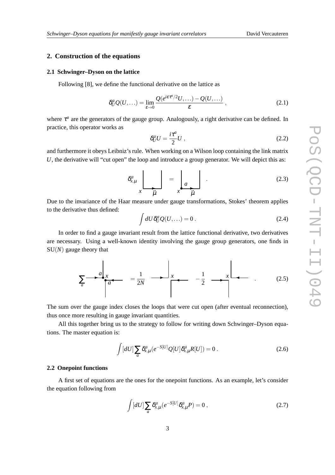### **2. Construction of the equations**

#### **2.1 Schwinger–Dyson on the lattice**

Following [8], we define the functional derivative on the lattice as

$$
\delta_U^a Q(U,\ldots) = \lim_{\varepsilon \to 0} \frac{Q(e^{i\varepsilon \tau^a/2} U, \ldots) - Q(U, \ldots)}{\varepsilon},\tag{2.1}
$$

where  $\tau^a$  are the generators of the gauge group. Analogously, a right derivative can be defined. In practice, this operator works as

$$
\delta_U^a U = \frac{i\tau^a}{2} U \,,\tag{2.2}
$$

and furthermore it obeys Leibniz's rule. When working on a Wilson loop containing the link matrix *U*, the derivative will "cut open" the loop and introduce a group generator. We will depict this as:

$$
\delta_{x,\mu}^a \underbrace{\Bigg|}_{x \ \ \overrightarrow{\mu}} = \underbrace{\Bigg|}_{x \ \ \overrightarrow{\mu}}.
$$
 (2.3)

Due to the invariance of the Haar measure under gauge transformations, Stokes' theorem applies to the derivative thus defined:

$$
\int dU \delta_U^a Q(U,\ldots) = 0.
$$
\n(2.4)

In order to find a gauge invariant result from the lattice functional derivative, two derivatives are necessary. Using a well-known identity involving the gauge group generators, one finds in SU(*N*) gauge theory that

$$
\sum_{a} \frac{a}{a} \frac{x}{a} = \frac{1}{2N} \longrightarrow \frac{x}{2} \longrightarrow \frac{1}{2} \longrightarrow \frac{x}{2} \longrightarrow \frac{1}{2}
$$
 (2.5)

The sum over the gauge index closes the loops that were cut open (after eventual reconnection), thus once more resulting in gauge invariant quantities.

All this together bring us to the strategy to follow for writing down Schwinger–Dyson equations. The master equation is:

$$
\int [dU] \sum_{a} \delta_{x,\mu}^{a} (e^{-S[U]} Q[U] \delta_{x,\mu}^{a} R[U]) = 0.
$$
\n(2.6)

#### **2.2 Onepoint functions**

A first set of equations are the ones for the onepoint functions. As an example, let's consider the equation following from

$$
\int [dU] \sum_{a} \delta_{x,\mu}^{a} (e^{-S[U]} \delta_{x,\mu}^{a} P) = 0 , \qquad (2.7)
$$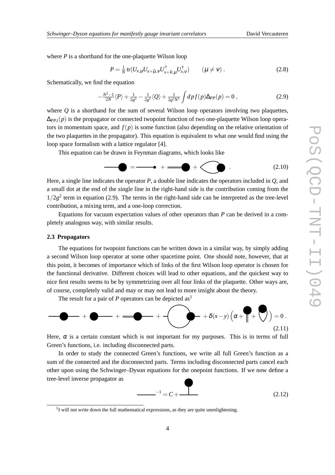where *P* is a shorthand for the one-plaquette Wilson loop

$$
P = \frac{1}{N} \text{tr}(U_{x,\mu} U_{x+\hat{\mu},\nu} U_{x+\hat{\nu},\mu}^{\dagger} U_{x,\nu}^{\dagger}) \qquad (\mu \neq \nu) \ . \tag{2.8}
$$

Schematically, we find the equation

$$
-\frac{N^2-1}{2N}\langle P\rangle + \frac{1}{2g^2} - \frac{1}{2g^2}\langle Q\rangle + \frac{1}{2g^2N^2}\int dp f(p)\Delta_{PP}(p) = 0,
$$
\n(2.9)

where  $\hat{O}$  is a shorthand for the sum of several Wilson loop operators involving two plaquettes,  $\Delta_{PP,i}(p)$  is the propagator or connected twopoint function of two one-plaquette Wilson loop operators in momentum space, and  $f(p)$  is some function (also depending on the relative orientation of the two plaquettes in the propagator). This equation is equivalent to what one would find using the loop space formalism with a lattice regulator [4].

This equation can be drawn in Feynman diagrams, which looks like

= + + . (2.10)

Here, a single line indicates the operator *P*, a double line indicates the operators included in *Q*, and a small dot at the end of the single line in the right-hand side is the contribution coming from the  $1/2g<sup>2</sup>$  term in equation (2.9). The terms in the right-hand side can be interpreted as the tree-level contribution, a mixing term, and a one-loop correction.

Equations for vacuum expectation values of other operators than *P* can be derived in a completely analogous way, with similar results.

#### **2.3 Propagators**

The equations for twopoint functions can be written down in a similar way, by simply adding a second Wilson loop operator at some other spacetime point. One should note, however, that at this point, it becomes of importance which of links of the first Wilson loop operator is chosen for the functional derivative. Different choices will lead to other equations, and the quickest way to nice first results seems to be by symmetrizing over all four links of the plaquette. Other ways are, of course, completely valid and may or may not lead to more insight about the theory.

The result for a pair of *P* operators can be depicted as<sup>1</sup>



Here,  $\alpha$  is a certain constant which is not important for my purposes. This is in terms of full Green's functions, i.e. including disconnected parts.

In order to study the connected Green's functions, we write all full Green's function as a sum of the connected and the disconnected parts. Terms including disconnected parts cancel each other upon using the Schwinger–Dyson equations for the onepoint functions. If we now define a tree-level inverse propagator as

$$
-1 = C + \t\t(2.12)
$$

 $1$ I will not write down the full mathematical expressions, as they are quite unenlightening.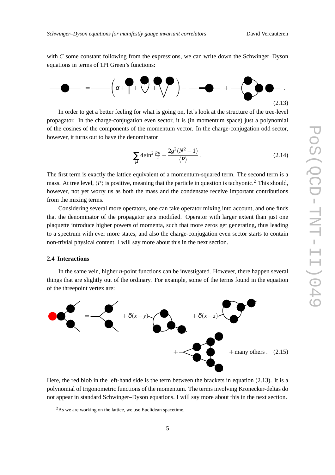with *C* some constant following from the expressions, we can write down the Schwinger–Dyson equations in terms of 1PI Green's functions:



In order to get a better feeling for what is going on, let's look at the structure of the tree-level propagator. In the charge-conjugation even sector, it is (in momentum space) just a polynomial of the cosines of the components of the momentum vector. In the charge-conjugation odd sector, however, it turns out to have the denominator

$$
\sum_{\mu} 4\sin^2\frac{p_{\mu}}{2} - \frac{2g^2(N^2 - 1)}{\langle P \rangle} \,. \tag{2.14}
$$

The first term is exactly the lattice equivalent of a momentum-squared term. The second term is a mass. At tree level,  $\langle P \rangle$  is positive, meaning that the particle in question is tachyonic.<sup>2</sup> This should, however, not yet worry us as both the mass and the condensate receive important contributions from the mixing terms.

Considering several more operators, one can take operator mixing into account, and one finds that the denominator of the propagator gets modified. Operator with larger extent than just one plaquette introduce higher powers of momenta, such that more zeros get generating, thus leading to a spectrum with ever more states, and also the charge-conjugation even sector starts to contain non-trivial physical content. I will say more about this in the next section.

#### **2.4 Interactions**

In the same vein, higher *n*-point functions can be investigated. However, there happen several things that are slightly out of the ordinary. For example, some of the terms found in the equation of the threepoint vertex are:



Here, the red blob in the left-hand side is the term between the brackets in equation (2.13). It is a polynomial of trigonometric functions of the momentum. The terms involving Kronecker-deltas do not appear in standard Schwinger–Dyson equations. I will say more about this in the next section.

<sup>&</sup>lt;sup>2</sup>As we are working on the lattice, we use Euclidean spacetime.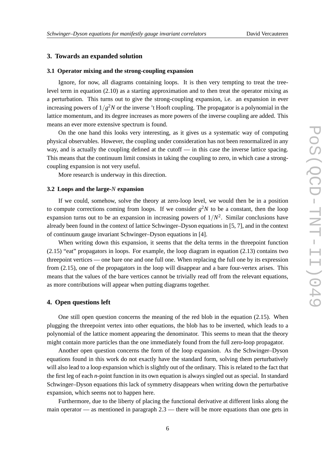#### **3. Towards an expanded solution**

#### **3.1 Operator mixing and the strong-coupling expansion**

Ignore, for now, all diagrams containing loops. It is then very tempting to treat the treelevel term in equation (2.10) as a starting approximation and to then treat the operator mixing as a perturbation. This turns out to give the strong-coupling expansion, i.e. an expansion in ever increasing powers of 1/*g* <sup>2</sup>*N* or the inverse 't Hooft coupling. The propagator is a polynomial in the lattice momentum, and its degree increases as more powers of the inverse coupling are added. This means an ever more extensive spectrum is found.

On the one hand this looks very interesting, as it gives us a systematic way of computing physical observables. However, the coupling under consideration has not been renormalized in any way, and is actually the coupling defined at the cutoff  $\overline{\phantom{a}}$  in this case the inverse lattice spacing. This means that the continuum limit consists in taking the coupling to zero, in which case a strongcoupling expansion is not very useful.

More research is underway in this direction.

#### **3.2 Loops and the large-***N* **expansion**

If we could, somehow, solve the theory at zero-loop level, we would then be in a position to compute corrections coming from loops. If we consider  $g^2N$  to be a constant, then the loop expansion turns out to be an expansion in increasing powers of  $1/N<sup>2</sup>$ . Similar conclusions have already been found in the context of lattice Schwinger–Dyson equations in [5, 7], and in the context of continuum gauge invariant Schwinger–Dyson equations in [4].

When writing down this expansion, it seems that the delta terms in the threepoint function (2.15) "eat" propagators in loops. For example, the loop diagram in equation (2.13) contains two threepoint vertices — one bare one and one full one. When replacing the full one by its expression from (2.15), one of the propagators in the loop will disappear and a bare four-vertex arises. This means that the values of the bare vertices cannot be trivially read off from the relevant equations, as more contributions will appear when putting diagrams together.

#### **4. Open questions left**

One still open question concerns the meaning of the red blob in the equation (2.15). When plugging the threepoint vertex into other equations, the blob has to be inverted, which leads to a polynomial of the lattice moment appearing the denominator. This seems to mean that the theory might contain more particles than the one immediately found from the full zero-loop propagator.

Another open question concerns the form of the loop expansion. As the Schwinger–Dyson equations found in this work do not exactly have the standard form, solving them perturbatively will also lead to a loop expansion which is slightly out of the ordinary. This is related to the fact that the first leg of each *n*-point function in its own equation is always singled out as special. In standard Schwinger–Dyson equations this lack of symmetry disappears when writing down the perturbative expansion, which seems not to happen here.

Furthermore, due to the liberty of placing the functional derivative at different links along the main operator — as mentioned in paragraph 2.3 — there will be more equations than one gets in